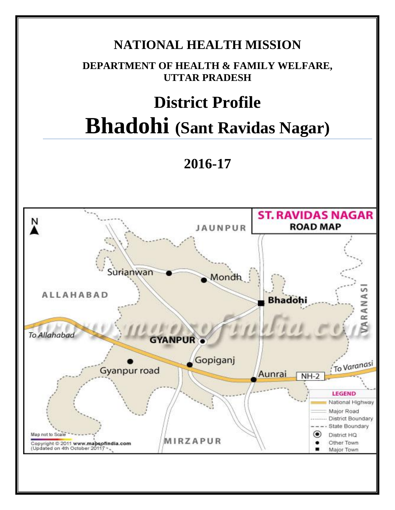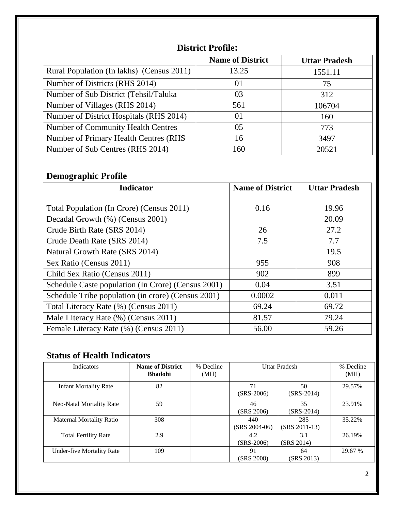|                                           | <b>Name of District</b> | <b>Uttar Pradesh</b> |
|-------------------------------------------|-------------------------|----------------------|
| Rural Population (In lakhs) (Census 2011) | 13.25                   | 1551.11              |
| Number of Districts (RHS 2014)            | 01                      | 75                   |
| Number of Sub District (Tehsil/Taluka     | 03                      | 312                  |
| Number of Villages (RHS 2014)             | 561                     | 106704               |
| Number of District Hospitals (RHS 2014)   | 01                      | 160                  |
| <b>Number of Community Health Centres</b> | 05                      | 773                  |
| Number of Primary Health Centres (RHS     | 16                      | 3497                 |
| Number of Sub Centres (RHS 2014)          | 160                     | 20521                |

## **District Profile:**

# **Demographic Profile**

| <b>Indicator</b>                                   | <b>Name of District</b> | <b>Uttar Pradesh</b> |
|----------------------------------------------------|-------------------------|----------------------|
|                                                    |                         |                      |
| Total Population (In Crore) (Census 2011)          | 0.16                    | 19.96                |
| Decadal Growth (%) (Census 2001)                   |                         | 20.09                |
| Crude Birth Rate (SRS 2014)                        | 26                      | 27.2                 |
| Crude Death Rate (SRS 2014)                        | 7.5                     | 7.7                  |
| Natural Growth Rate (SRS 2014)                     |                         | 19.5                 |
| Sex Ratio (Census 2011)                            | 955                     | 908                  |
| Child Sex Ratio (Census 2011)                      | 902                     | 899                  |
| Schedule Caste population (In Crore) (Census 2001) | 0.04                    | 3.51                 |
| Schedule Tribe population (in crore) (Census 2001) | 0.0002                  | 0.011                |
| Total Literacy Rate (%) (Census 2011)              | 69.24                   | 69.72                |
| Male Literacy Rate (%) (Census 2011)               | 81.57                   | 79.24                |
| Female Literacy Rate (%) (Census 2011)             | 56.00                   | 59.26                |

# **Status of Health Indicators**

| <b>Indicators</b>                | <b>Name of District</b><br><b>Bhadohi</b> | % Decline<br>(MH) | <b>Uttar Pradesh</b>   |                        | % Decline<br>(MH) |
|----------------------------------|-------------------------------------------|-------------------|------------------------|------------------------|-------------------|
| <b>Infant Mortality Rate</b>     | 82                                        |                   | 71<br>$(SRS-2006)$     | 50<br>$(SRS-2014)$     | 29.57%            |
| Neo-Natal Mortality Rate         | 59                                        |                   | 46<br>(SRS 2006)       | 35<br>$(SRS-2014)$     | 23.91%            |
| <b>Maternal Mortality Ratio</b>  | 308                                       |                   | 440<br>$(SRS 2004-06)$ | 285<br>$(SRS 2011-13)$ | 35.22%            |
| <b>Total Fertility Rate</b>      | 2.9                                       |                   | 4.2<br>$(SRS-2006)$    | 3.1<br>(SRS 2014)      | 26.19%            |
| <b>Under-five Mortality Rate</b> | 109                                       |                   | 91<br>(SRS 2008)       | 64<br>(SRS 2013)       | 29.67 %           |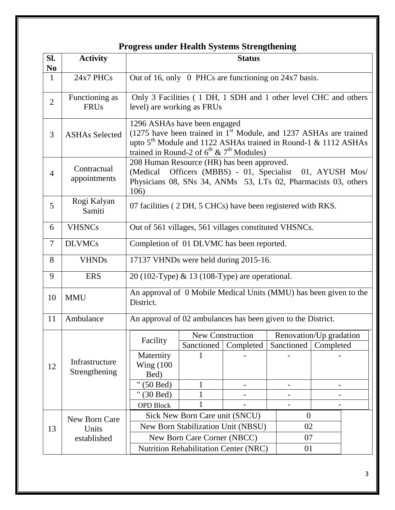### **Progress under Health Systems Strengthening**

| SI.            | т годнез иниет теани бузиль би спдиненид<br><b>Status</b><br><b>Activity</b> |                                                                                                                                   |                                                                                                                                                                                                                                         |  |  |                                                                 |
|----------------|------------------------------------------------------------------------------|-----------------------------------------------------------------------------------------------------------------------------------|-----------------------------------------------------------------------------------------------------------------------------------------------------------------------------------------------------------------------------------------|--|--|-----------------------------------------------------------------|
| N <sub>0</sub> |                                                                              |                                                                                                                                   |                                                                                                                                                                                                                                         |  |  |                                                                 |
| $\mathbf{1}$   | 24x7 PHCs                                                                    | Out of 16, only 0 PHCs are functioning on 24x7 basis.                                                                             |                                                                                                                                                                                                                                         |  |  |                                                                 |
| $\overline{2}$ | Functioning as<br><b>FRUs</b>                                                | level) are working as FRUs                                                                                                        |                                                                                                                                                                                                                                         |  |  | Only 3 Facilities (1 DH, 1 SDH and 1 other level CHC and others |
| 3              | <b>ASHAs Selected</b>                                                        |                                                                                                                                   | 1296 ASHAs have been engaged<br>(1275 have been trained in $1st$ Module, and 1237 ASHAs are trained<br>upto 5 <sup>th</sup> Module and 1122 ASHAs trained in Round-1 & 1112 ASHAs<br>trained in Round-2 of $6^{th}$ & $7^{th}$ Modules) |  |  |                                                                 |
| $\overline{4}$ | Contractual<br>appointments                                                  | (Medical)<br>106)                                                                                                                 | 208 Human Resource (HR) has been approved.<br>Officers (MBBS) - 01, Specialist 01, AYUSH Mos/<br>Physicians 08, SNs 34, ANMs 53, LTs 02, Pharmacists 03, others                                                                         |  |  |                                                                 |
| 5              | Rogi Kalyan<br>Samiti                                                        | 07 facilities (2 DH, 5 CHCs) have been registered with RKS.                                                                       |                                                                                                                                                                                                                                         |  |  |                                                                 |
| 6              | <b>VHSNCs</b>                                                                | Out of 561 villages, 561 villages constituted VHSNCs.                                                                             |                                                                                                                                                                                                                                         |  |  |                                                                 |
| $\overline{7}$ | <b>DLVMCs</b>                                                                | Completion of 01 DLVMC has been reported.                                                                                         |                                                                                                                                                                                                                                         |  |  |                                                                 |
| 8              | <b>VHNDs</b>                                                                 | 17137 VHNDs were held during 2015-16.                                                                                             |                                                                                                                                                                                                                                         |  |  |                                                                 |
| 9              | <b>ERS</b>                                                                   | $20(102-Type)$ & 13 (108-Type) are operational.                                                                                   |                                                                                                                                                                                                                                         |  |  |                                                                 |
| 10             | <b>MMU</b>                                                                   | An approval of 0 Mobile Medical Units (MMU) has been given to the<br>District.                                                    |                                                                                                                                                                                                                                         |  |  |                                                                 |
| 11             | Ambulance                                                                    | An approval of 02 ambulances has been given to the District.                                                                      |                                                                                                                                                                                                                                         |  |  |                                                                 |
|                |                                                                              | New Construction<br>Renovation/Up gradation<br>Facility<br>Sanctioned<br>Completed<br>Sanctioned<br>Completed                     |                                                                                                                                                                                                                                         |  |  |                                                                 |
| 12             | Infrastructure<br>Strengthening                                              | Maternity<br>Wing $(100)$<br>Bed)                                                                                                 |                                                                                                                                                                                                                                         |  |  |                                                                 |
|                |                                                                              | $(50$ Bed)                                                                                                                        | 1                                                                                                                                                                                                                                       |  |  |                                                                 |
|                |                                                                              | $(30$ Bed)<br><b>OPD Block</b>                                                                                                    |                                                                                                                                                                                                                                         |  |  |                                                                 |
|                |                                                                              | Sick New Born Care unit (SNCU)<br>$\overline{0}$<br>New Born Stabilization Unit (NBSU)<br>02<br>New Born Care Corner (NBCC)<br>07 |                                                                                                                                                                                                                                         |  |  |                                                                 |
| 13             | New Born Care<br>Units                                                       |                                                                                                                                   |                                                                                                                                                                                                                                         |  |  |                                                                 |
|                | established                                                                  |                                                                                                                                   |                                                                                                                                                                                                                                         |  |  |                                                                 |
|                |                                                                              | Nutrition Rehabilitation Center (NRC)<br>01                                                                                       |                                                                                                                                                                                                                                         |  |  |                                                                 |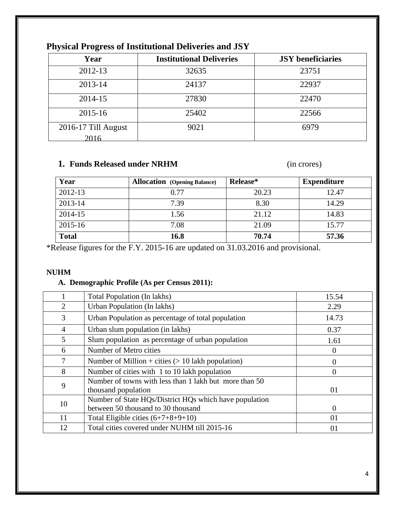| Year                | <b>Institutional Deliveries</b> | <b>JSY</b> beneficiaries |
|---------------------|---------------------------------|--------------------------|
| 2012-13             | 32635                           | 23751                    |
| 2013-14             | 24137                           | 22937                    |
| 2014-15             | 27830                           | 22470                    |
| $2015 - 16$         | 25402                           | 22566                    |
| 2016-17 Till August | 9021                            | 6979                     |
| 2016                |                                 |                          |

# **Physical Progress of Institutional Deliveries and JSY**

### **1. Funds Released under NRHM** (in crores)

| Year         | <b>Allocation</b> (Opening Balance) | Release* | <b>Expenditure</b> |
|--------------|-------------------------------------|----------|--------------------|
| 2012-13      | 0.77                                | 20.23    | 12.47              |
| 2013-14      | 7.39                                | 8.30     | 14.29              |
| 2014-15      | 1.56                                | 21.12    | 14.83              |
| 2015-16      | 7.08                                | 21.09    | 15.77              |
| <b>Total</b> | 16.8                                | 70.74    | 57.36              |

\*Release figures for the F.Y. 2015-16 are updated on 31.03.2016 and provisional.

#### **NUHM**

## **A. Demographic Profile (As per Census 2011):**

|                | Total Population (In lakhs)                                                   | 15.54    |
|----------------|-------------------------------------------------------------------------------|----------|
| 2              | Urban Population (In lakhs)                                                   | 2.29     |
| 3              | Urban Population as percentage of total population                            | 14.73    |
| $\overline{4}$ | Urban slum population (in lakhs)                                              | 0.37     |
| 5              | Slum population as percentage of urban population                             | 1.61     |
| 6              | Number of Metro cities                                                        | $\Omega$ |
| 7              | Number of Million + cities $(> 10$ lakh population)                           | 0        |
| 8              | Number of cities with 1 to 10 lakh population                                 | 0        |
| 9              | Number of towns with less than 1 lakh but more than 50<br>thousand population | 01       |
| 10             | Number of State HQs/District HQs which have population                        |          |
|                | between 50 thousand to 30 thousand                                            | $\theta$ |
| 11             | Total Eligible cities $(6+7+8+9+10)$                                          | 01       |
| 12             | Total cities covered under NUHM till 2015-16                                  | 01       |